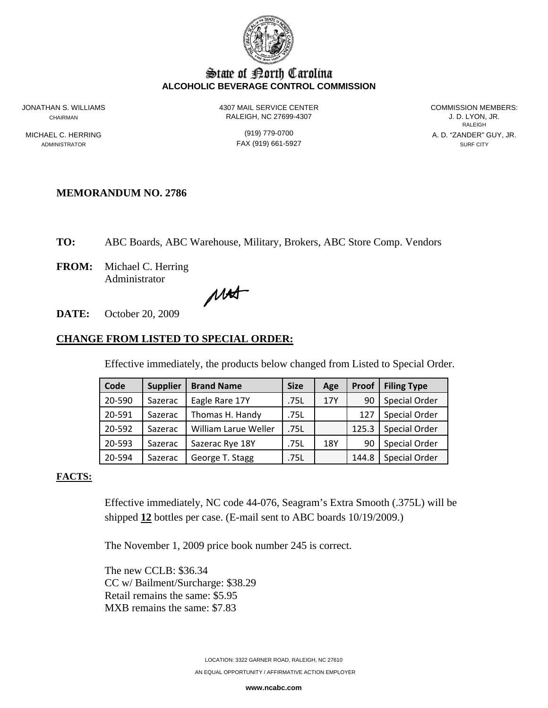

# State of Borth Carolina **ALCOHOLIC BEVERAGE CONTROL COMMISSION**

JONATHAN S. WILLIAMS 4307 MAIL SERVICE CENTER COMMISSION MEMBERS:

CHAIRMAN RALEIGH, NC 27699-4307 J. D. LYON, JR.

ADMINISTRATOR SURF CITY CONTROL CONTROL CONTROL FAX (919) 661-5927 SURF CITY

**RALEIGH RALEIGH** MICHAEL C. HERRING (919) 779-0700 A. D. "ZANDER" GUY, JR.

## **MEMORANDUM NO. 2786**

**TO:** ABC Boards, ABC Warehouse, Military, Brokers, ABC Store Comp. Vendors

**FROM:** Michael C. Herring Administrator

MAT

**DATE:** October 20, 2009

## **CHANGE FROM LISTED TO SPECIAL ORDER:**

Effective immediately, the products below changed from Listed to Special Order.

| Code   | <b>Supplier</b> | <b>Brand Name</b>    | <b>Size</b> | Age | Proof | <b>Filing Type</b>   |
|--------|-----------------|----------------------|-------------|-----|-------|----------------------|
| 20-590 | Sazerac         | Eagle Rare 17Y       | .75L        | 17Y | 90    | <b>Special Order</b> |
| 20-591 | Sazerac         | Thomas H. Handy      | .75L        |     | 127   | Special Order        |
| 20-592 | Sazerac         | William Larue Weller | .75L        |     | 125.3 | <b>Special Order</b> |
| 20-593 | Sazerac         | Sazerac Rye 18Y      | .75L        | 18Y | 90    | Special Order        |
| 20-594 | Sazerac         | George T. Stagg      | .75L        |     | 144.8 | Special Order        |

#### **FACTS:**

Effective immediately, NC code 44-076, Seagram's Extra Smooth (.375L) will be shipped **12** bottles per case. (E-mail sent to ABC boards 10/19/2009.)

The November 1, 2009 price book number 245 is correct.

The new CCLB: \$36.34 CC w/ Bailment/Surcharge: \$38.29 Retail remains the same: \$5.95 MXB remains the same: \$7.83

**www.ncabc.com**